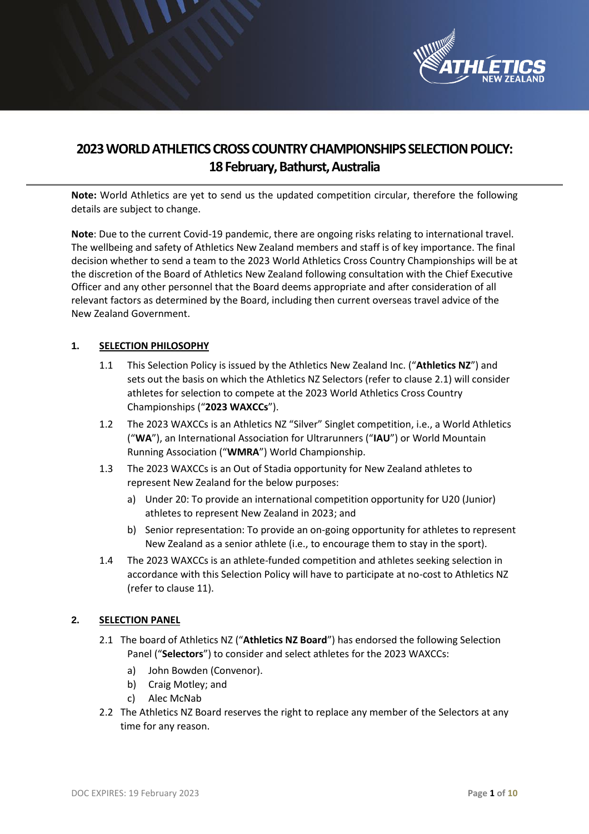

# **2023WORLD ATHLETICS CROSS COUNTRY CHAMPIONSHIPS SELECTION POLICY: 18February, Bathurst, Australia**

**Note:** World Athletics are yet to send us the updated competition circular, therefore the following details are subject to change.

**Note**: Due to the current Covid-19 pandemic, there are ongoing risks relating to international travel. The wellbeing and safety of Athletics New Zealand members and staff is of key importance. The final decision whether to send a team to the 2023 World Athletics Cross Country Championships will be at the discretion of the Board of Athletics New Zealand following consultation with the Chief Executive Officer and any other personnel that the Board deems appropriate and after consideration of all relevant factors as determined by the Board, including then current overseas travel advice of the New Zealand Government.

## **1. SELECTION PHILOSOPHY**

- 1.1 This Selection Policy is issued by the Athletics New Zealand Inc. ("**Athletics NZ**") and sets out the basis on which the Athletics NZ Selectors (refer to clause 2.1) will consider athletes for selection to compete at the 2023 World Athletics Cross Country Championships ("**2023 WAXCCs**").
- 1.2 The 2023 WAXCCs is an Athletics NZ "Silver" Singlet competition, i.e., a World Athletics ("**WA**"), an International Association for Ultrarunners ("**IAU**") or World Mountain Running Association ("**WMRA**") World Championship.
- 1.3 The 2023 WAXCCs is an Out of Stadia opportunity for New Zealand athletes to represent New Zealand for the below purposes:
	- a) Under 20: To provide an international competition opportunity for U20 (Junior) athletes to represent New Zealand in 2023; and
	- b) Senior representation: To provide an on-going opportunity for athletes to represent New Zealand as a senior athlete (i.e., to encourage them to stay in the sport).
- 1.4 The 2023 WAXCCs is an athlete-funded competition and athletes seeking selection in accordance with this Selection Policy will have to participate at no-cost to Athletics NZ (refer to clause 11).

## **2. SELECTION PANEL**

- 2.1 The board of Athletics NZ ("**Athletics NZ Board**") has endorsed the following Selection Panel ("**Selectors**") to consider and select athletes for the 2023 WAXCCs:
	- a) John Bowden (Convenor).
	- b) Craig Motley; and
	- c) Alec McNab
- 2.2 The Athletics NZ Board reserves the right to replace any member of the Selectors at any time for any reason.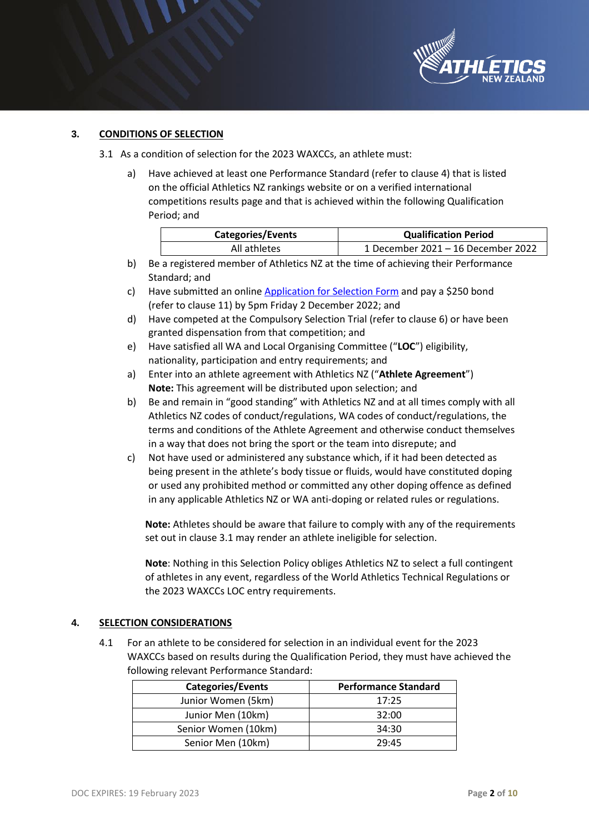

## **3. CONDITIONS OF SELECTION**

- 3.1 As a condition of selection for the 2023 WAXCCs, an athlete must:
	- a) Have achieved at least one Performance Standard (refer to clause 4) that is listed on the official Athletics NZ rankings website or on a verified international competitions results page and that is achieved within the following Qualification Period; and

| <b>Categories/Events</b> | <b>Qualification Period</b>        |
|--------------------------|------------------------------------|
| All athletes             | 1 December 2021 – 16 December 2022 |

- b) Be a registered member of Athletics NZ at the time of achieving their Performance Standard; and
- c) Have submitted an online [Application for Selection Form](https://application-selection-form-hp.eventdesq.com/) and pay a \$250 bond (refer to clause 11) by 5pm Friday 2 December 2022; and
- d) Have competed at the Compulsory Selection Trial (refer to clause 6) or have been granted dispensation from that competition; and
- e) Have satisfied all WA and Local Organising Committee ("**LOC**") eligibility, nationality, participation and entry requirements; and
- a) Enter into an athlete agreement with Athletics NZ ("**Athlete Agreement**") **Note:** This agreement will be distributed upon selection; and
- b) Be and remain in "good standing" with Athletics NZ and at all times comply with all Athletics NZ codes of conduct/regulations, WA codes of conduct/regulations, the terms and conditions of the Athlete Agreement and otherwise conduct themselves in a way that does not bring the sport or the team into disrepute; and
- c) Not have used or administered any substance which, if it had been detected as being present in the athlete's body tissue or fluids, would have constituted doping or used any prohibited method or committed any other doping offence as defined in any applicable Athletics NZ or WA anti-doping or related rules or regulations.

**Note:** Athletes should be aware that failure to comply with any of the requirements set out in clause 3.1 may render an athlete ineligible for selection.

**Note**: Nothing in this Selection Policy obliges Athletics NZ to select a full contingent of athletes in any event, regardless of the World Athletics Technical Regulations or the 2023 WAXCCs LOC entry requirements.

## **4. SELECTION CONSIDERATIONS**

4.1 For an athlete to be considered for selection in an individual event for the 2023 WAXCCs based on results during the Qualification Period, they must have achieved the following relevant Performance Standard:

| <b>Categories/Events</b> | <b>Performance Standard</b> |
|--------------------------|-----------------------------|
| Junior Women (5km)       | 17:25                       |
| Junior Men (10km)        | 32:00                       |
| Senior Women (10km)      | 34:30                       |
| Senior Men (10km)        | 29:45                       |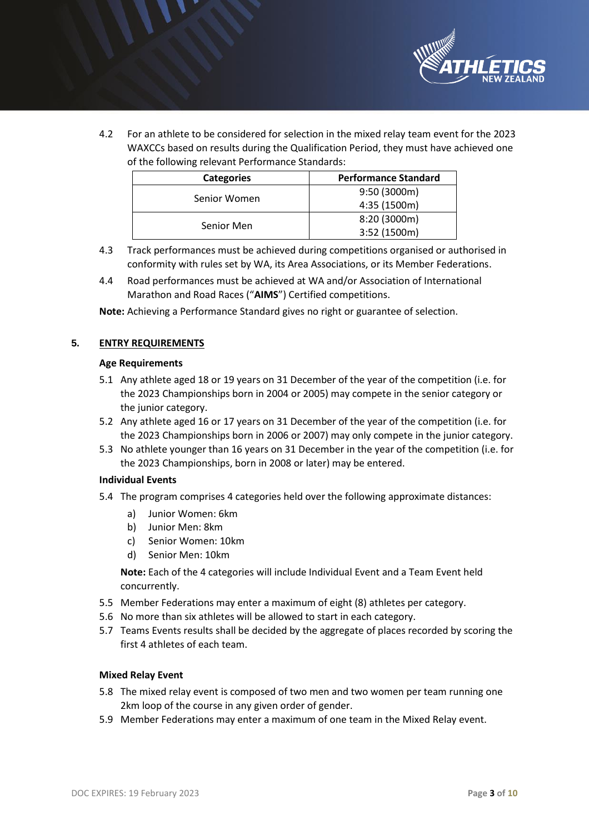

4.2 For an athlete to be considered for selection in the mixed relay team event for the 2023 WAXCCs based on results during the Qualification Period, they must have achieved one of the following relevant Performance Standards:

| <b>Categories</b> | <b>Performance Standard</b> |
|-------------------|-----------------------------|
| Senior Women      | 9:50 (3000m)                |
|                   | 4:35 (1500m)                |
| Senior Men        | 8:20 (3000m)                |
|                   | 3:52 (1500m)                |

- 4.3 Track performances must be achieved during competitions organised or authorised in conformity with rules set by WA, its Area Associations, or its Member Federations.
- 4.4 Road performances must be achieved at WA and/or Association of International Marathon and Road Races ("**AIMS**") Certified competitions.

**Note:** Achieving a Performance Standard gives no right or guarantee of selection.

#### **5. ENTRY REQUIREMENTS**

#### **Age Requirements**

- 5.1 Any athlete aged 18 or 19 years on 31 December of the year of the competition (i.e. for the 2023 Championships born in 2004 or 2005) may compete in the senior category or the junior category.
- 5.2 Any athlete aged 16 or 17 years on 31 December of the year of the competition (i.e. for the 2023 Championships born in 2006 or 2007) may only compete in the junior category.
- 5.3 No athlete younger than 16 years on 31 December in the year of the competition (i.e. for the 2023 Championships, born in 2008 or later) may be entered.

#### **Individual Events**

- 5.4 The program comprises 4 categories held over the following approximate distances:
	- a) Junior Women: 6km
	- b) Junior Men: 8km
	- c) Senior Women: 10km
	- d) Senior Men: 10km

**Note:** Each of the 4 categories will include Individual Event and a Team Event held concurrently.

- 5.5 Member Federations may enter a maximum of eight (8) athletes per category.
- 5.6 No more than six athletes will be allowed to start in each category.
- 5.7 Teams Events results shall be decided by the aggregate of places recorded by scoring the first 4 athletes of each team.

#### **Mixed Relay Event**

- 5.8 The mixed relay event is composed of two men and two women per team running one 2km loop of the course in any given order of gender.
- 5.9 Member Federations may enter a maximum of one team in the Mixed Relay event.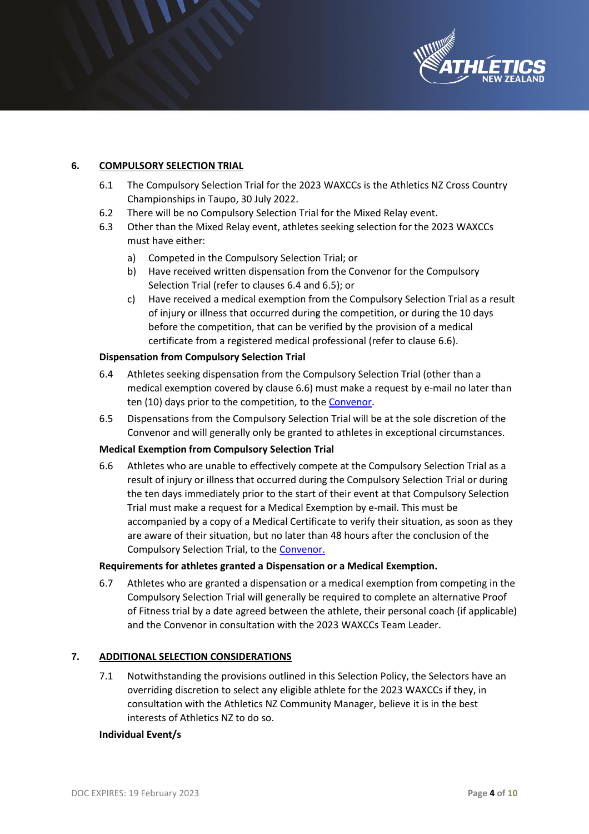

## **6. COMPULSORY SELECTION TRIAL**

- 6.1 The Compulsory Selection Trial for the 2023 WAXCCs is the Athletics NZ Cross Country Championships in Taupo, 30 July 2022.
- 6.2 There will be no Compulsory Selection Trial for the Mixed Relay event.
- 6.3 Other than the Mixed Relay event, athletes seeking selection for the 2023 WAXCCs must have either:
	- a) Competed in the Compulsory Selection Trial; or
	- b) Have received written dispensation from the Convenor for the Compulsory Selection Trial (refer to clauses 6.4 and 6.5); or
	- c) Have received a medical exemption from the Compulsory Selection Trial as a result of injury or illness that occurred during the competition, or during the 10 days before the competition, that can be verified by the provision of a medical certificate from a registered medical professional (refer to clause 6.6).

#### **Dispensation from Compulsory Selection Trial**

- 6.4 Athletes seeking dispensation from the Compulsory Selection Trial (other than a medical exemption covered by clause 6.6) must make a request by e-mail no later than ten (10) days prior to the competition, to the [Convenor.](mailto:john@athletics.org.nz)
- 6.5 Dispensations from the Compulsory Selection Trial will be at the sole discretion of the Convenor and will generally only be granted to athletes in exceptional circumstances.

## **Medical Exemption from Compulsory Selection Trial**

6.6 Athletes who are unable to effectively compete at the Compulsory Selection Trial as a result of injury or illness that occurred during the Compulsory Selection Trial or during the ten days immediately prior to the start of their event at that Compulsory Selection Trial must make a request for a Medical Exemption by e-mail. This must be accompanied by a copy of a Medical Certificate to verify their situation, as soon as they are aware of their situation, but no later than 48 hours after the conclusion of the Compulsory Selection Trial, to the [Convenor.](mailto:john@athletics.org.nz)

#### **Requirements for athletes granted a Dispensation or a Medical Exemption.**

6.7 Athletes who are granted a dispensation or a medical exemption from competing in the Compulsory Selection Trial will generally be required to complete an alternative Proof of Fitness trial by a date agreed between the athlete, their personal coach (if applicable) and the Convenor in consultation with the 2023 WAXCCs Team Leader.

## **7. ADDITIONAL SELECTION CONSIDERATIONS**

7.1 Notwithstanding the provisions outlined in this Selection Policy, the Selectors have an overriding discretion to select any eligible athlete for the 2023 WAXCCs if they, in consultation with the Athletics NZ Community Manager, believe it is in the best interests of Athletics NZ to do so.

#### **Individual Event/s**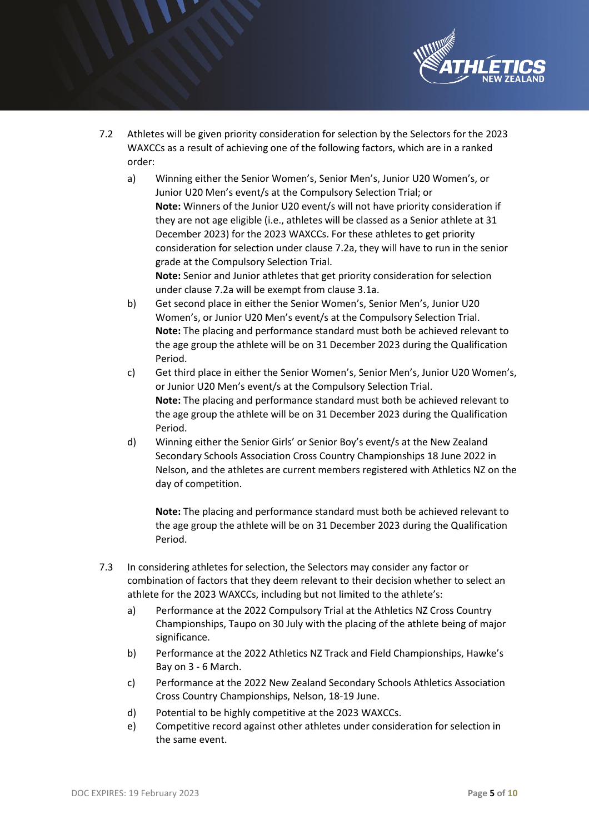

- 7.2 Athletes will be given priority consideration for selection by the Selectors for the 2023 WAXCCs as a result of achieving one of the following factors, which are in a ranked order:
	- a) Winning either the Senior Women's, Senior Men's, Junior U20 Women's, or Junior U20 Men's event/s at the Compulsory Selection Trial; or **Note:** Winners of the Junior U20 event/s will not have priority consideration if they are not age eligible (i.e., athletes will be classed as a Senior athlete at 31 December 2023) for the 2023 WAXCCs. For these athletes to get priority consideration for selection under clause 7.2a, they will have to run in the senior grade at the Compulsory Selection Trial.

**Note:** Senior and Junior athletes that get priority consideration for selection under clause 7.2a will be exempt from clause 3.1a.

- b) Get second place in either the Senior Women's, Senior Men's, Junior U20 Women's, or Junior U20 Men's event/s at the Compulsory Selection Trial. **Note:** The placing and performance standard must both be achieved relevant to the age group the athlete will be on 31 December 2023 during the Qualification Period.
- c) Get third place in either the Senior Women's, Senior Men's, Junior U20 Women's, or Junior U20 Men's event/s at the Compulsory Selection Trial. **Note:** The placing and performance standard must both be achieved relevant to the age group the athlete will be on 31 December 2023 during the Qualification Period.
- d) Winning either the Senior Girls' or Senior Boy's event/s at the New Zealand Secondary Schools Association Cross Country Championships 18 June 2022 in Nelson, and the athletes are current members registered with Athletics NZ on the day of competition.

**Note:** The placing and performance standard must both be achieved relevant to the age group the athlete will be on 31 December 2023 during the Qualification Period.

- 7.3 In considering athletes for selection, the Selectors may consider any factor or combination of factors that they deem relevant to their decision whether to select an athlete for the 2023 WAXCCs, including but not limited to the athlete's:
	- a) Performance at the 2022 Compulsory Trial at the Athletics NZ Cross Country Championships, Taupo on 30 July with the placing of the athlete being of major significance.
	- b) Performance at the 2022 Athletics NZ Track and Field Championships, Hawke's Bay on 3 - 6 March.
	- c) Performance at the 2022 New Zealand Secondary Schools Athletics Association Cross Country Championships, Nelson, 18-19 June.
	- d) Potential to be highly competitive at the 2023 WAXCCs.
	- e) Competitive record against other athletes under consideration for selection in the same event.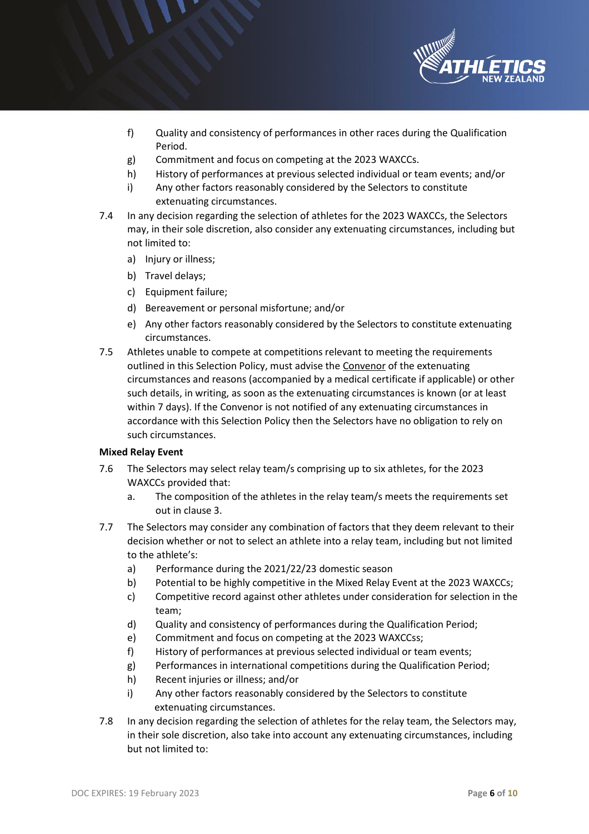

- f) Quality and consistency of performances in other races during the Qualification Period.
- g) Commitment and focus on competing at the 2023 WAXCCs.
- h) History of performances at previous selected individual or team events; and/or
- i) Any other factors reasonably considered by the Selectors to constitute extenuating circumstances.
- 7.4 In any decision regarding the selection of athletes for the 2023 WAXCCs, the Selectors may, in their sole discretion, also consider any extenuating circumstances, including but not limited to:
	- a) Injury or illness;
	- b) Travel delays;
	- c) Equipment failure;
	- d) Bereavement or personal misfortune; and/or
	- e) Any other factors reasonably considered by the Selectors to constitute extenuating circumstances.
- 7.5 Athletes unable to compete at competitions relevant to meeting the requirements outlined in this Selection Policy, must advise the [Convenor](mailto:John@athletics.org.nz) of the extenuating circumstances and reasons (accompanied by a medical certificate if applicable) or other such details, in writing, as soon as the extenuating circumstances is known (or at least within 7 days). If the Convenor is not notified of any extenuating circumstances in accordance with this Selection Policy then the Selectors have no obligation to rely on such circumstances.

## **Mixed Relay Event**

- 7.6 The Selectors may select relay team/s comprising up to six athletes, for the 2023 WAXCCs provided that:
	- a. The composition of the athletes in the relay team/s meets the requirements set out in clause 3.
- 7.7 The Selectors may consider any combination of factors that they deem relevant to their decision whether or not to select an athlete into a relay team, including but not limited to the athlete's:
	- a) Performance during the 2021/22/23 domestic season
	- b) Potential to be highly competitive in the Mixed Relay Event at the 2023 WAXCCs;
	- c) Competitive record against other athletes under consideration for selection in the team;
	- d) Quality and consistency of performances during the Qualification Period;
	- e) Commitment and focus on competing at the 2023 WAXCCss;
	- f) History of performances at previous selected individual or team events;
	- g) Performances in international competitions during the Qualification Period;
	- h) Recent injuries or illness; and/or
	- i) Any other factors reasonably considered by the Selectors to constitute extenuating circumstances.
- 7.8 In any decision regarding the selection of athletes for the relay team, the Selectors may, in their sole discretion, also take into account any extenuating circumstances, including but not limited to: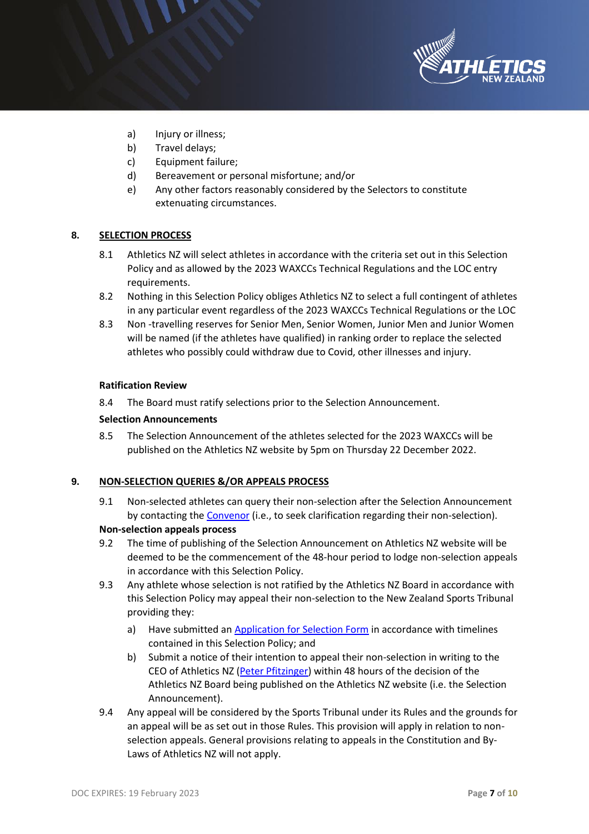

- a) Injury or illness;
- b) Travel delays;
- c) Equipment failure;
- d) Bereavement or personal misfortune; and/or
- e) Any other factors reasonably considered by the Selectors to constitute extenuating circumstances.

## **8. SELECTION PROCESS**

- 8.1 Athletics NZ will select athletes in accordance with the criteria set out in this Selection Policy and as allowed by the 2023 WAXCCs Technical Regulations and the LOC entry requirements.
- 8.2 Nothing in this Selection Policy obliges Athletics NZ to select a full contingent of athletes in any particular event regardless of the 2023 WAXCCs Technical Regulations or the LOC
- 8.3 Non -travelling reserves for Senior Men, Senior Women, Junior Men and Junior Women will be named (if the athletes have qualified) in ranking order to replace the selected athletes who possibly could withdraw due to Covid, other illnesses and injury.

#### **Ratification Review**

8.4 The Board must ratify selections prior to the Selection Announcement.

#### **Selection Announcements**

8.5 The Selection Announcement of the athletes selected for the 2023 WAXCCs will be published on the Athletics NZ website by 5pm on Thursday 22 December 2022.

## **9. NON-SELECTION QUERIES &/OR APPEALS PROCESS**

- 9.1 Non-selected athletes can query their non-selection after the Selection Announcement by contacting the [Convenor](mailto:john@athletics.org.nz) (i.e., to seek clarification regarding their non-selection). **Non-selection appeals process**
- 9.2 The time of publishing of the Selection Announcement on Athletics NZ website will be deemed to be the commencement of the 48-hour period to lodge non-selection appeals in accordance with this Selection Policy.
- 9.3 Any athlete whose selection is not ratified by the Athletics NZ Board in accordance with this Selection Policy may appeal their non-selection to the New Zealand Sports Tribunal providing they:
	- a) Have submitted an [Application for Selection Form](https://application-selection-form-hp.eventdesq.com/) in accordance with timelines contained in this Selection Policy; and
	- b) Submit a notice of their intention to appeal their non-selection in writing to the CEO of Athletics NZ [\(Peter Pfitzinger\)](mailto:peter@athletics.org.nz) within 48 hours of the decision of the Athletics NZ Board being published on the Athletics NZ website (i.e. the Selection Announcement).
- 9.4 Any appeal will be considered by the Sports Tribunal under its Rules and the grounds for an appeal will be as set out in those Rules. This provision will apply in relation to nonselection appeals. General provisions relating to appeals in the Constitution and By-Laws of Athletics NZ will not apply.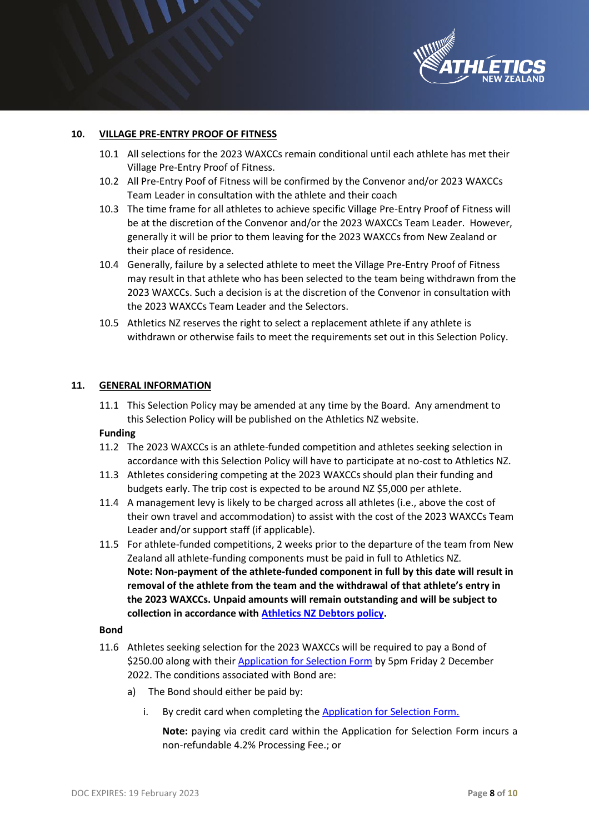

## **10. VILLAGE PRE-ENTRY PROOF OF FITNESS**

- 10.1 All selections for the 2023 WAXCCs remain conditional until each athlete has met their Village Pre-Entry Proof of Fitness.
- 10.2 All Pre-Entry Poof of Fitness will be confirmed by the Convenor and/or 2023 WAXCCs Team Leader in consultation with the athlete and their coach
- 10.3 The time frame for all athletes to achieve specific Village Pre-Entry Proof of Fitness will be at the discretion of the Convenor and/or the 2023 WAXCCs Team Leader. However, generally it will be prior to them leaving for the 2023 WAXCCs from New Zealand or their place of residence.
- 10.4 Generally, failure by a selected athlete to meet the Village Pre-Entry Proof of Fitness may result in that athlete who has been selected to the team being withdrawn from the 2023 WAXCCs. Such a decision is at the discretion of the Convenor in consultation with the 2023 WAXCCs Team Leader and the Selectors.
- 10.5 Athletics NZ reserves the right to select a replacement athlete if any athlete is withdrawn or otherwise fails to meet the requirements set out in this Selection Policy.

#### **11. GENERAL INFORMATION**

11.1 This Selection Policy may be amended at any time by the Board. Any amendment to this Selection Policy will be published on the Athletics NZ website.

#### **Funding**

- 11.2 The 2023 WAXCCs is an athlete-funded competition and athletes seeking selection in accordance with this Selection Policy will have to participate at no-cost to Athletics NZ.
- 11.3 Athletes considering competing at the 2023 WAXCCs should plan their funding and budgets early. The trip cost is expected to be around NZ \$5,000 per athlete.
- 11.4 A management levy is likely to be charged across all athletes (i.e., above the cost of their own travel and accommodation) to assist with the cost of the 2023 WAXCCs Team Leader and/or support staff (if applicable).
- 11.5 For athlete-funded competitions, 2 weeks prior to the departure of the team from New Zealand all athlete-funding components must be paid in full to Athletics NZ. **Note: Non-payment of the athlete-funded component in full by this date will result in removal of the athlete from the team and the withdrawal of that athlete's entry in the 2023 WAXCCs. Unpaid amounts will remain outstanding and will be subject to collection in accordance with [Athletics NZ Debtors policy.](http://www.athletics.org.nz/Portals/24/Files/Legal/ANZ%20Debtors%20Policy%20Nov%202014.pdf)**

#### **Bond**

- 11.6 Athletes seeking selection for the 2023 WAXCCs will be required to pay a Bond of \$250.00 along with thei[r Application for Selection Form](https://application-selection-form-hp.eventdesq.com/) by 5pm Friday 2 December 2022. The conditions associated with Bond are:
	- a) The Bond should either be paid by:
		- i. By credit card when completing the Application for Selection Form.

**Note:** paying via credit card within the Application for Selection Form incurs a non-refundable 4.2% Processing Fee.; or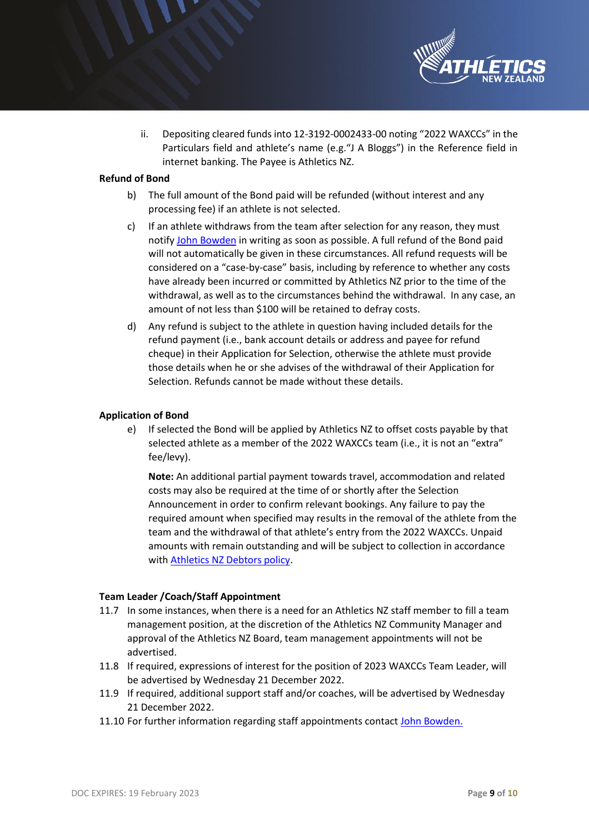

ii. Depositing cleared funds into 12-3192-0002433-00 noting "2022 WAXCCs" in the Particulars field and athlete's name (e.g."J A Bloggs") in the Reference field in internet banking. The Payee is Athletics NZ.

## **Refund of Bond**

- b) The full amount of the Bond paid will be refunded (without interest and any processing fee) if an athlete is not selected.
- c) If an athlete withdraws from the team after selection for any reason, they must notif[y John Bowden](mailto:john@athletics.org.nz) in writing as soon as possible. A full refund of the Bond paid will not automatically be given in these circumstances. All refund requests will be considered on a "case-by-case" basis, including by reference to whether any costs have already been incurred or committed by Athletics NZ prior to the time of the withdrawal, as well as to the circumstances behind the withdrawal. In any case, an amount of not less than \$100 will be retained to defray costs.
- d) Any refund is subject to the athlete in question having included details for the refund payment (i.e., bank account details or address and payee for refund cheque) in their Application for Selection, otherwise the athlete must provide those details when he or she advises of the withdrawal of their Application for Selection. Refunds cannot be made without these details.

### **Application of Bond**

e) If selected the Bond will be applied by Athletics NZ to offset costs payable by that selected athlete as a member of the 2022 WAXCCs team (i.e., it is not an "extra" fee/levy).

**Note:** An additional partial payment towards travel, accommodation and related costs may also be required at the time of or shortly after the Selection Announcement in order to confirm relevant bookings. Any failure to pay the required amount when specified may results in the removal of the athlete from the team and the withdrawal of that athlete's entry from the 2022 WAXCCs. Unpaid amounts with remain outstanding and will be subject to collection in accordance with [Athletics NZ Debtors policy.](http://www.athletics.org.nz/Portals/24/Files/Legal/ANZ%20Debtors%20Policy%20Nov%202014.pdf)

#### **Team Leader /Coach/Staff Appointment**

- 11.7 In some instances, when there is a need for an Athletics NZ staff member to fill a team management position, at the discretion of the Athletics NZ Community Manager and approval of the Athletics NZ Board, team management appointments will not be advertised.
- 11.8 If required, [expressions of interest](http://www.athletics.org.nz/Portals/24/High%20Performance/Misc%20Documents/ANZ-HP%20Team%20Management%20Application_distributed_0001.pdf) for the position of 2023 WAXCCs Team Leader, will be advertised by Wednesday 21 December 2022.
- 11.9 If required, additional support staff and/or coaches, will be advertised by Wednesday 21 December 2022.
- 11.10 For further information regarding staff appointments contac[t John Bowden.](mailto:john@athletics.org.nz)